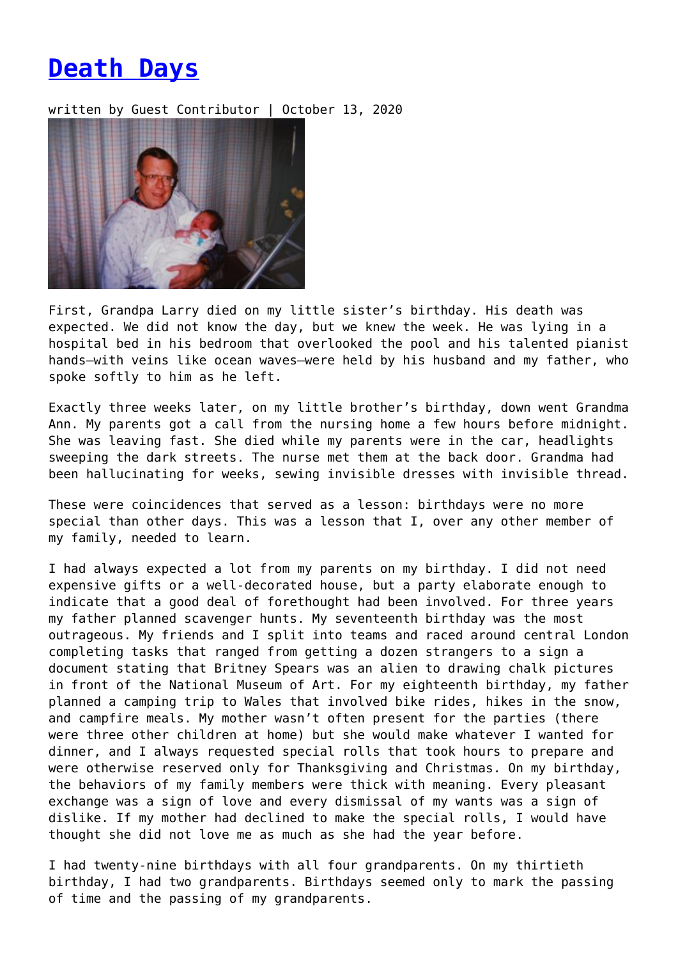## **[Death Days](https://entropymag.org/death-days/)**

written by Guest Contributor | October 13, 2020



First, Grandpa Larry died on my little sister's birthday. His death was expected. We did not know the day, but we knew the week. He was lying in a hospital bed in his bedroom that overlooked the pool and his talented pianist hands—with veins like ocean waves—were held by his husband and my father, who spoke softly to him as he left.

Exactly three weeks later, on my little brother's birthday, down went Grandma Ann. My parents got a call from the nursing home a few hours before midnight. She was leaving fast. She died while my parents were in the car, headlights sweeping the dark streets. The nurse met them at the back door. Grandma had been hallucinating for weeks, sewing invisible dresses with invisible thread.

These were coincidences that served as a lesson: birthdays were no more special than other days. This was a lesson that I, over any other member of my family, needed to learn.

I had always expected a lot from my parents on my birthday. I did not need expensive gifts or a well-decorated house, but a party elaborate enough to indicate that a good deal of forethought had been involved. For three years my father planned scavenger hunts. My seventeenth birthday was the most outrageous. My friends and I split into teams and raced around central London completing tasks that ranged from getting a dozen strangers to a sign a document stating that Britney Spears was an alien to drawing chalk pictures in front of the National Museum of Art. For my eighteenth birthday, my father planned a camping trip to Wales that involved bike rides, hikes in the snow, and campfire meals. My mother wasn't often present for the parties (there were three other children at home) but she would make whatever I wanted for dinner, and I always requested special rolls that took hours to prepare and were otherwise reserved only for Thanksgiving and Christmas. On my birthday, the behaviors of my family members were thick with meaning. Every pleasant exchange was a sign of love and every dismissal of my wants was a sign of dislike. If my mother had declined to make the special rolls, I would have thought she did not love me as much as she had the year before.

I had twenty-nine birthdays with all four grandparents. On my thirtieth birthday, I had two grandparents. Birthdays seemed only to mark the passing of time and the passing of my grandparents.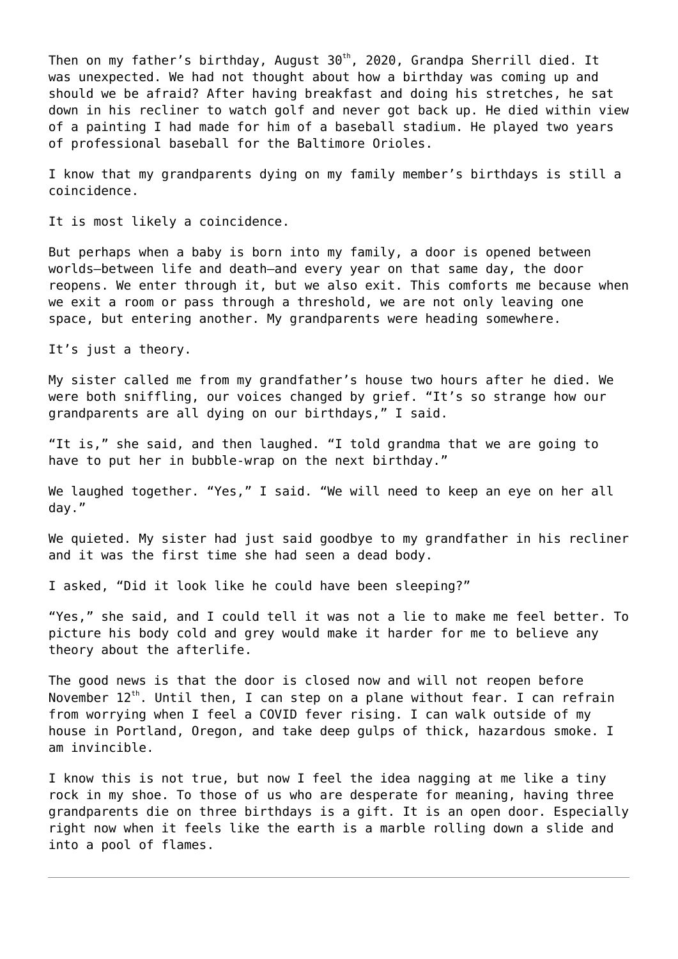Then on my father's birthday, August  $30<sup>th</sup>$ , 2020, Grandpa Sherrill died. It was unexpected. We had not thought about how a birthday was coming up and should we be afraid? After having breakfast and doing his stretches, he sat down in his recliner to watch golf and never got back up. He died within view of a painting I had made for him of a baseball stadium. He played two years of professional baseball for the Baltimore Orioles.

I know that my grandparents dying on my family member's birthdays is still a coincidence.

It is most likely a coincidence.

But perhaps when a baby is born into my family, a door is opened between worlds—between life and death—and every year on that same day, the door reopens. We enter through it, but we also exit. This comforts me because when we exit a room or pass through a threshold, we are not only leaving one space, but entering another. My grandparents were heading somewhere.

It's just a theory.

My sister called me from my grandfather's house two hours after he died. We were both sniffling, our voices changed by grief. "It's so strange how our grandparents are all dying on our birthdays," I said.

"It is," she said, and then laughed. "I told grandma that we are going to have to put her in bubble-wrap on the next birthday."

We laughed together. "Yes," I said. "We will need to keep an eye on her all day."

We quieted. My sister had just said goodbye to my grandfather in his recliner and it was the first time she had seen a dead body.

I asked, "Did it look like he could have been sleeping?"

"Yes," she said, and I could tell it was not a lie to make me feel better. To picture his body cold and grey would make it harder for me to believe any theory about the afterlife.

The good news is that the door is closed now and will not reopen before November  $12^{th}$ . Until then, I can step on a plane without fear. I can refrain from worrying when I feel a COVID fever rising. I can walk outside of my house in Portland, Oregon, and take deep gulps of thick, hazardous smoke. I am invincible.

I know this is not true, but now I feel the idea nagging at me like a tiny rock in my shoe. To those of us who are desperate for meaning, having three grandparents die on three birthdays is a gift. It is an open door. Especially right now when it feels like the earth is a marble rolling down a slide and into a pool of flames.